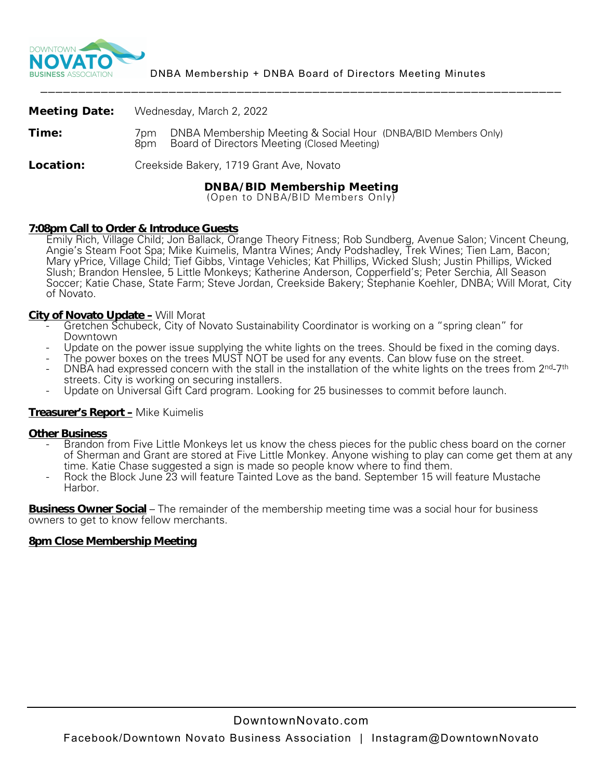

|                      | <b>DNBA/BID Membership Meeting</b>                                                                                          |
|----------------------|-----------------------------------------------------------------------------------------------------------------------------|
| Location:            | Creekside Bakery, 1719 Grant Ave, Novato                                                                                    |
| Time:                | DNBA Membership Meeting & Social Hour (DNBA/BID Members Only)<br>7pm.<br>Board of Directors Meeting (Closed Meeting)<br>8pm |
| <b>Meeting Date:</b> | Wednesday, March 2, 2022                                                                                                    |

(Open to DNBA/BID Members Only)

# **7:08pm Call to Order & Introduce Guests**

Emily Rich, Village Child; Jon Ballack, Orange Theory Fitness; Rob Sundberg, Avenue Salon; Vincent Cheung, Angie's Steam Foot Spa; Mike Kuimelis, Mantra Wines; Andy Podshadley, Trek Wines; Tien Lam, Bacon; Mary yPrice, Village Child; Tief Gibbs, Vintage Vehicles; Kat Phillips, Wicked Slush; Justin Phillips, Wicked Slush; Brandon Henslee, 5 Little Monkeys; Katherine Anderson, Copperfield's; Peter Serchia, All Season Soccer; Katie Chase, State Farm; Steve Jordan, Creekside Bakery; Stephanie Koehler, DNBA; Will Morat, City of Novato.

- **City of Novato Update –** Will Morat<br>- Gretchen Schubeck, City of Novato Sustainability Coordinator is working on a "spring clean" for
	- Downtown<br>Update on the power issue supplying the white lights on the trees. Should be fixed in the coming days.<br>The power boxes on the trees MUST NOT be used for any events. Can blow fuse on the street.
	-
	- DNBA had expressed concern with the stall in the installation of the white lights on the trees from 2<sup>nd-7th</sup> streets. City is working on securing installers.
	- Update on Universal Gift Card program. Looking for 25 businesses to commit before launch.

## **Treasurer's Report –** Mike Kuimelis

- **Other Business**<br>- Brandon from Five Little Monkeys let us know the chess pieces for the public chess board on the corner of Sherman and Grant are stored at Five Little Monkey. Anyone wishing to play can come get them at any time. Katie Chase suggested a sign is made so people know where to find them.
	- Rock the Block June 23 will feature Tainted Love as the band. September 15 will feature Mustache Harbor.

**Business Owner Social** – The remainder of the membership meeting time was a social hour for business owners to get to know fellow merchants.

## **8pm Close Membership Meeting**